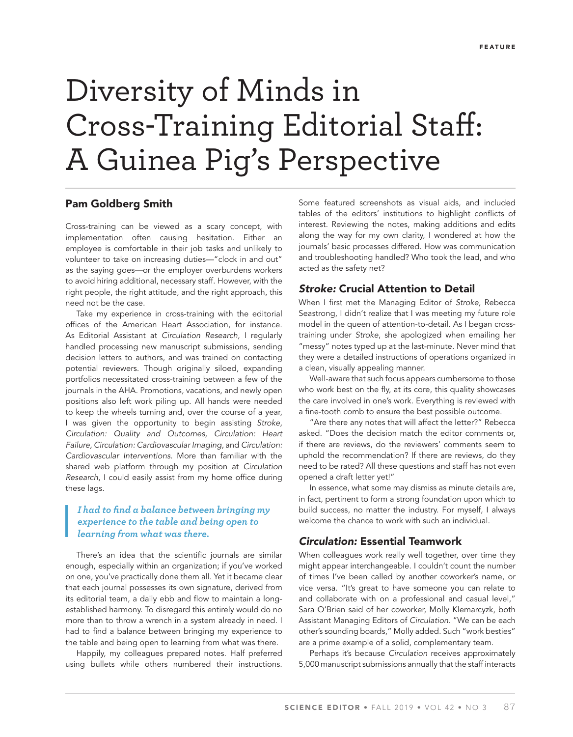# Diversity of Minds in Cross-Training Editorial Staff: A Guinea Pig's Perspective

# **Pam Goldberg Smith**

Cross-training can be viewed as a scary concept, with implementation often causing hesitation. Either an employee is comfortable in their job tasks and unlikely to volunteer to take on increasing duties—"clock in and out" as the saying goes—or the employer overburdens workers to avoid hiring additional, necessary staff. However, with the right people, the right attitude, and the right approach, this need not be the case.

Take my experience in cross-training with the editorial offices of the American Heart Association, for instance. As Editorial Assistant at Circulation Research, I regularly handled processing new manuscript submissions, sending decision letters to authors, and was trained on contacting potential reviewers. Though originally siloed, expanding portfolios necessitated cross-training between a few of the journals in the AHA. Promotions, vacations, and newly open positions also left work piling up. All hands were needed to keep the wheels turning and, over the course of a year, I was given the opportunity to begin assisting Stroke, Circulation: Quality and Outcomes, Circulation: Heart Failure, Circulation: Cardiovascular Imaging, and Circulation: Cardiovascular Interventions. More than familiar with the shared web platform through my position at Circulation Research, I could easily assist from my home office during these lags.

## *I had to find a balance between bringing my experience to the table and being open to learning from what was there.*

There's an idea that the scientific journals are similar enough, especially within an organization; if you've worked on one, you've practically done them all. Yet it became clear that each journal possesses its own signature, derived from its editorial team, a daily ebb and flow to maintain a longestablished harmony. To disregard this entirely would do no more than to throw a wrench in a system already in need. I had to find a balance between bringing my experience to the table and being open to learning from what was there.

Happily, my colleagues prepared notes. Half preferred using bullets while others numbered their instructions. Some featured screenshots as visual aids, and included tables of the editors' institutions to highlight conflicts of interest. Reviewing the notes, making additions and edits along the way for my own clarity, I wondered at how the journals' basic processes differed. How was communication and troubleshooting handled? Who took the lead, and who acted as the safety net?

# *Stroke:* **Crucial Attention to Detail**

When I first met the Managing Editor of Stroke, Rebecca Seastrong, I didn't realize that I was meeting my future role model in the queen of attention-to-detail. As I began crosstraining under Stroke, she apologized when emailing her "messy" notes typed up at the last-minute. Never mind that they were a detailed instructions of operations organized in a clean, visually appealing manner.

Well-aware that such focus appears cumbersome to those who work best on the fly, at its core, this quality showcases the care involved in one's work. Everything is reviewed with a fine-tooth comb to ensure the best possible outcome.

"Are there any notes that will affect the letter?" Rebecca asked. "Does the decision match the editor comments or, if there are reviews, do the reviewers' comments seem to uphold the recommendation? If there are reviews, do they need to be rated? All these questions and staff has not even opened a draft letter yet!"

In essence, what some may dismiss as minute details are, in fact, pertinent to form a strong foundation upon which to build success, no matter the industry. For myself, I always welcome the chance to work with such an individual.

### *Circulation:* **Essential Teamwork**

When colleagues work really well together, over time they might appear interchangeable. I couldn't count the number of times I've been called by another coworker's name, or vice versa. "It's great to have someone you can relate to and collaborate with on a professional and casual level," Sara O'Brien said of her coworker, Molly Klemarcyzk, both Assistant Managing Editors of Circulation. "We can be each other's sounding boards," Molly added. Such "work besties" are a prime example of a solid, complementary team.

Perhaps it's because Circulation receives approximately 5,000 manuscript submissions annually that the staff interacts